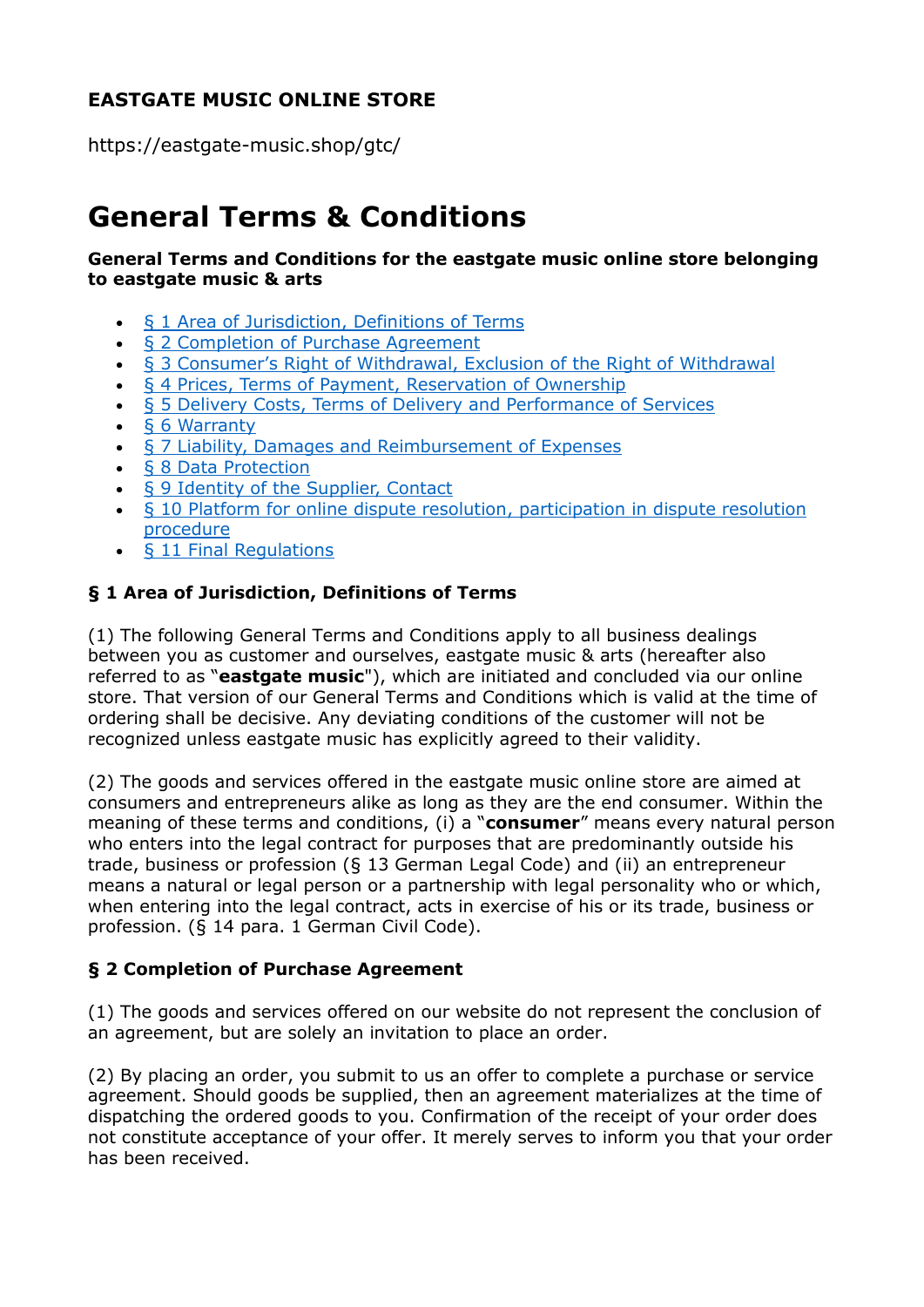## **EASTGATE MUSIC ONLINE STORE**

https://eastgate-music.shop/gtc/

# **General Terms & Conditions**

#### **General Terms and Conditions for the eastgate music online store belonging to eastgate music & arts**

- [§ 1 Area of Jurisdiction, Definitions of Terms](https://www.eastgate-music.shop/en/contact/index.asp?dat=GTC#p1)
- [§ 2 Completion of Purchase Agreement](https://www.eastgate-music.shop/en/contact/index.asp?dat=GTC#p2)
- [§ 3 Consumer's Right of Withdrawal, Exclusion of the Right of Withdrawal](https://www.eastgate-music.shop/en/contact/index.asp?dat=GTC#p3)
- [§ 4 Prices, Terms of Payment, Reservation of Ownership](https://www.eastgate-music.shop/en/contact/index.asp?dat=GTC#p4)
- [§ 5 Delivery Costs, Terms of Delivery and Performance of Services](https://www.eastgate-music.shop/en/contact/index.asp?dat=GTC#p5)
- [§ 6 Warranty](https://www.eastgate-music.shop/en/contact/index.asp?dat=GTC#p6)
- [§ 7 Liability, Damages and Reimbursement of Expenses](https://www.eastgate-music.shop/en/contact/index.asp?dat=GTC#p7)
- [§ 8 Data Protection](https://www.eastgate-music.shop/en/contact/index.asp?dat=GTC#p8)
- [§ 9 Identity of the Supplier, Contact](https://www.eastgate-music.shop/en/contact/index.asp?dat=GTC#p9)
- [§ 10 Platform for online dispute resolution, participation in dispute resolution](https://www.eastgate-music.shop/en/contact/index.asp?dat=GTC#p10)  [procedure](https://www.eastgate-music.shop/en/contact/index.asp?dat=GTC#p10)
- [§ 11 Final Regulations](https://www.eastgate-music.shop/en/contact/index.asp?dat=GTC#p11)

#### **§ 1 Area of Jurisdiction, Definitions of Terms**

(1) The following General Terms and Conditions apply to all business dealings between you as customer and ourselves, eastgate music & arts (hereafter also referred to as "**eastgate music**"), which are initiated and concluded via our online store. That version of our General Terms and Conditions which is valid at the time of ordering shall be decisive. Any deviating conditions of the customer will not be recognized unless eastgate music has explicitly agreed to their validity.

(2) The goods and services offered in the eastgate music online store are aimed at consumers and entrepreneurs alike as long as they are the end consumer. Within the meaning of these terms and conditions, (i) a "**consumer**" means every natural person who enters into the legal contract for purposes that are predominantly outside his trade, business or profession (§ 13 German Legal Code) and (ii) an entrepreneur means a natural or legal person or a partnership with legal personality who or which, when entering into the legal contract, acts in exercise of his or its trade, business or profession. (§ 14 para. 1 German Civil Code).

## **§ 2 Completion of Purchase Agreement**

(1) The goods and services offered on our website do not represent the conclusion of an agreement, but are solely an invitation to place an order.

(2) By placing an order, you submit to us an offer to complete a purchase or service agreement. Should goods be supplied, then an agreement materializes at the time of dispatching the ordered goods to you. Confirmation of the receipt of your order does not constitute acceptance of your offer. It merely serves to inform you that your order has been received.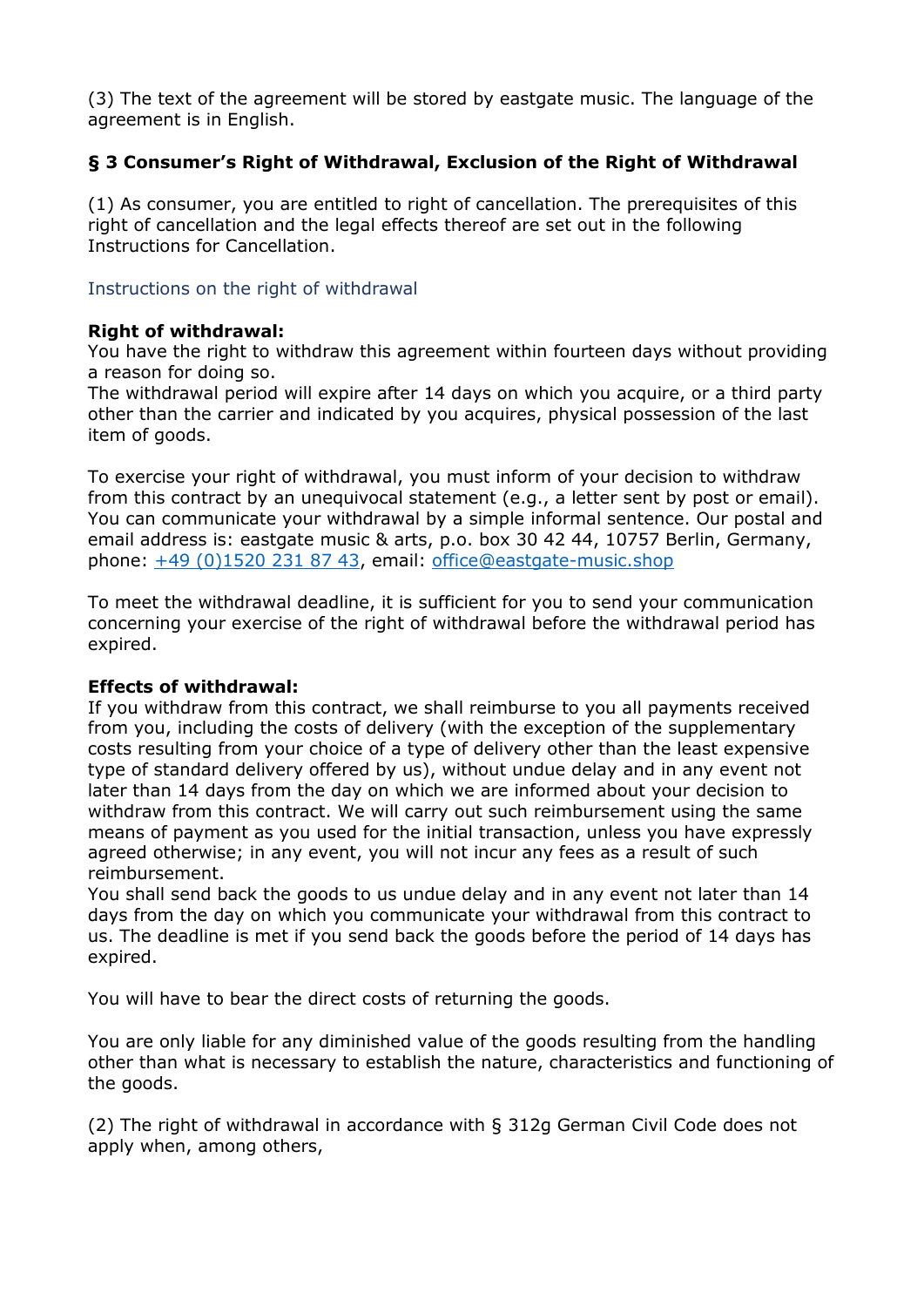(3) The text of the agreement will be stored by eastgate music. The language of the agreement is in English.

## **§ 3 Consumer's Right of Withdrawal, Exclusion of the Right of Withdrawal**

(1) As consumer, you are entitled to right of cancellation. The prerequisites of this right of cancellation and the legal effects thereof are set out in the following Instructions for Cancellation.

#### Instructions on the right of withdrawal

#### **Right of withdrawal:**

You have the right to withdraw this agreement within fourteen days without providing a reason for doing so.

The withdrawal period will expire after 14 days on which you acquire, or a third party other than the carrier and indicated by you acquires, physical possession of the last item of goods.

To exercise your right of withdrawal, you must inform of your decision to withdraw from this contract by an unequivocal statement (e.g., a letter sent by post or email). You can communicate your withdrawal by a simple informal sentence. Our postal and email address is: eastgate music & arts, p.o. box 30 42 44, 10757 Berlin, Germany, phone: [+49 \(0\)1520 231 87 43,](tel:+49%201520%20231%2087%2043) email: [office@eastgate-music.shop](mailto:office@eastgate-music.shop)

To meet the withdrawal deadline, it is sufficient for you to send your communication concerning your exercise of the right of withdrawal before the withdrawal period has expired.

#### **Effects of withdrawal:**

If you withdraw from this contract, we shall reimburse to you all payments received from you, including the costs of delivery (with the exception of the supplementary costs resulting from your choice of a type of delivery other than the least expensive type of standard delivery offered by us), without undue delay and in any event not later than 14 days from the day on which we are informed about your decision to withdraw from this contract. We will carry out such reimbursement using the same means of payment as you used for the initial transaction, unless you have expressly agreed otherwise; in any event, you will not incur any fees as a result of such reimbursement.

You shall send back the goods to us undue delay and in any event not later than 14 days from the day on which you communicate your withdrawal from this contract to us. The deadline is met if you send back the goods before the period of 14 days has expired.

You will have to bear the direct costs of returning the goods.

You are only liable for any diminished value of the goods resulting from the handling other than what is necessary to establish the nature, characteristics and functioning of the goods.

(2) The right of withdrawal in accordance with § 312g German Civil Code does not apply when, among others,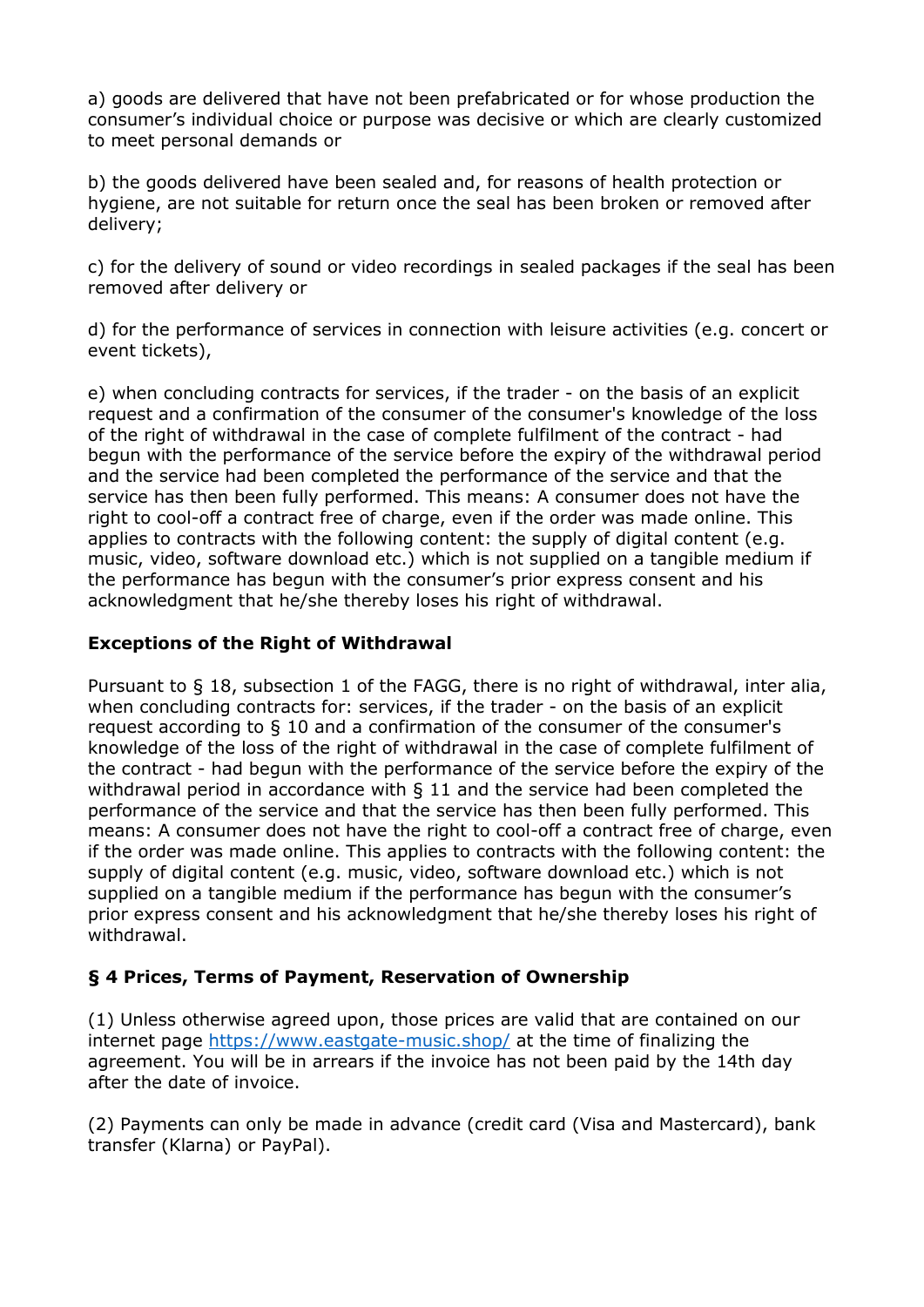a) goods are delivered that have not been prefabricated or for whose production the consumer's individual choice or purpose was decisive or which are clearly customized to meet personal demands or

b) the goods delivered have been sealed and, for reasons of health protection or hygiene, are not suitable for return once the seal has been broken or removed after delivery;

c) for the delivery of sound or video recordings in sealed packages if the seal has been removed after delivery or

d) for the performance of services in connection with leisure activities (e.g. concert or event tickets),

e) when concluding contracts for services, if the trader - on the basis of an explicit request and a confirmation of the consumer of the consumer's knowledge of the loss of the right of withdrawal in the case of complete fulfilment of the contract - had begun with the performance of the service before the expiry of the withdrawal period and the service had been completed the performance of the service and that the service has then been fully performed. This means: A consumer does not have the right to cool-off a contract free of charge, even if the order was made online. This applies to contracts with the following content: the supply of digital content (e.g. music, video, software download etc.) which is not supplied on a tangible medium if the performance has begun with the consumer's prior express consent and his acknowledgment that he/she thereby loses his right of withdrawal.

#### **Exceptions of the Right of Withdrawal**

Pursuant to § 18, subsection 1 of the FAGG, there is no right of withdrawal, inter alia, when concluding contracts for: services, if the trader - on the basis of an explicit request according to § 10 and a confirmation of the consumer of the consumer's knowledge of the loss of the right of withdrawal in the case of complete fulfilment of the contract - had begun with the performance of the service before the expiry of the withdrawal period in accordance with § 11 and the service had been completed the performance of the service and that the service has then been fully performed. This means: A consumer does not have the right to cool-off a contract free of charge, even if the order was made online. This applies to contracts with the following content: the supply of digital content (e.g. music, video, software download etc.) which is not supplied on a tangible medium if the performance has begun with the consumer's prior express consent and his acknowledgment that he/she thereby loses his right of withdrawal.

## **§ 4 Prices, Terms of Payment, Reservation of Ownership**

(1) Unless otherwise agreed upon, those prices are valid that are contained on our internet page<https://www.eastgate-music.shop/> at the time of finalizing the agreement. You will be in arrears if the invoice has not been paid by the 14th day after the date of invoice.

(2) Payments can only be made in advance (credit card (Visa and Mastercard), bank transfer (Klarna) or PayPal).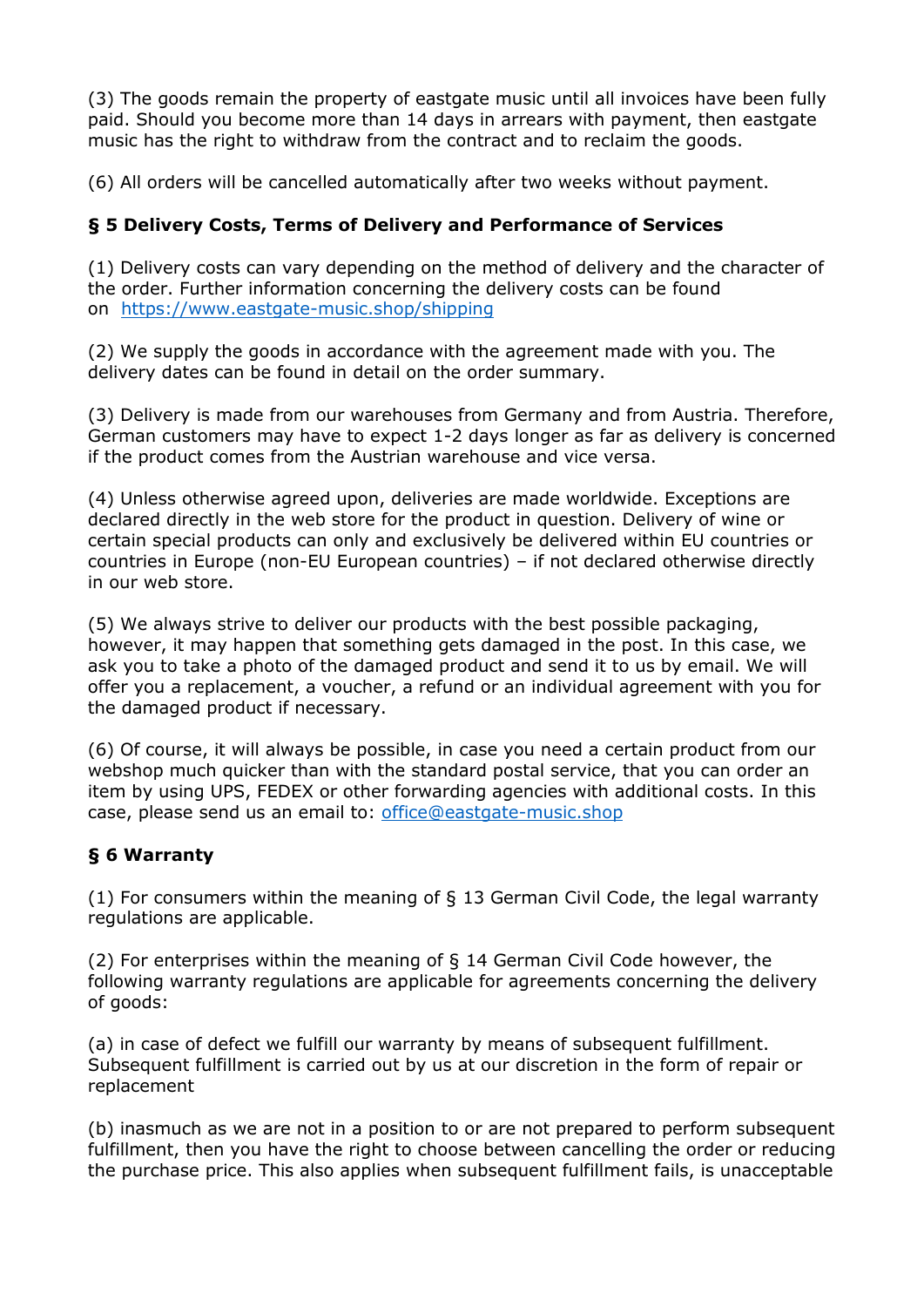(3) The goods remain the property of eastgate music until all invoices have been fully paid. Should you become more than 14 days in arrears with payment, then eastgate music has the right to withdraw from the contract and to reclaim the goods.

(6) All orders will be cancelled automatically after two weeks without payment.

## **§ 5 Delivery Costs, Terms of Delivery and Performance of Services**

(1) Delivery costs can vary depending on the method of delivery and the character of the order. Further information concerning the delivery costs can be found on <https://www.eastgate-music.shop/shipping>

(2) We supply the goods in accordance with the agreement made with you. The delivery dates can be found in detail on the order summary.

(3) Delivery is made from our warehouses from Germany and from Austria. Therefore, German customers may have to expect 1-2 days longer as far as delivery is concerned if the product comes from the Austrian warehouse and vice versa.

(4) Unless otherwise agreed upon, deliveries are made worldwide. Exceptions are declared directly in the web store for the product in question. Delivery of wine or certain special products can only and exclusively be delivered within EU countries or countries in Europe (non-EU European countries) – if not declared otherwise directly in our web store.

(5) We always strive to deliver our products with the best possible packaging, however, it may happen that something gets damaged in the post. In this case, we ask you to take a photo of the damaged product and send it to us by email. We will offer you a replacement, a voucher, a refund or an individual agreement with you for the damaged product if necessary.

(6) Of course, it will always be possible, in case you need a certain product from our webshop much quicker than with the standard postal service, that you can order an item by using UPS, FEDEX or other forwarding agencies with additional costs. In this case, please send us an email to: [office@eastgate-music.shop](mailto:office@eastgate-music.shop)

## **§ 6 Warranty**

(1) For consumers within the meaning of § 13 German Civil Code, the legal warranty regulations are applicable.

(2) For enterprises within the meaning of § 14 German Civil Code however, the following warranty regulations are applicable for agreements concerning the delivery of goods:

(a) in case of defect we fulfill our warranty by means of subsequent fulfillment. Subsequent fulfillment is carried out by us at our discretion in the form of repair or replacement

(b) inasmuch as we are not in a position to or are not prepared to perform subsequent fulfillment, then you have the right to choose between cancelling the order or reducing the purchase price. This also applies when subsequent fulfillment fails, is unacceptable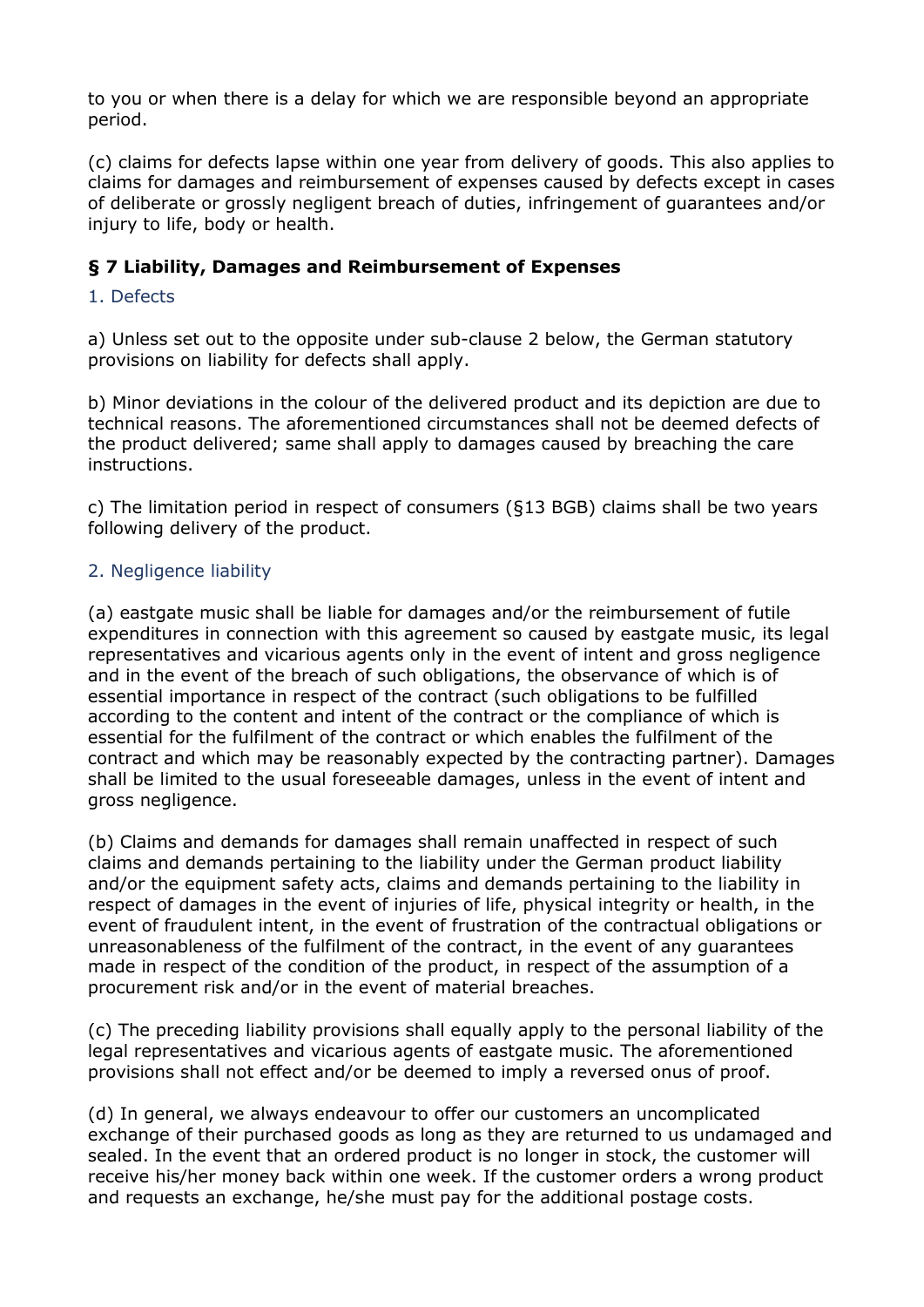to you or when there is a delay for which we are responsible beyond an appropriate period.

(c) claims for defects lapse within one year from delivery of goods. This also applies to claims for damages and reimbursement of expenses caused by defects except in cases of deliberate or grossly negligent breach of duties, infringement of guarantees and/or injury to life, body or health.

## **§ 7 Liability, Damages and Reimbursement of Expenses**

#### 1. Defects

a) Unless set out to the opposite under sub-clause 2 below, the German statutory provisions on liability for defects shall apply.

b) Minor deviations in the colour of the delivered product and its depiction are due to technical reasons. The aforementioned circumstances shall not be deemed defects of the product delivered; same shall apply to damages caused by breaching the care instructions.

c) The limitation period in respect of consumers (§13 BGB) claims shall be two years following delivery of the product.

#### 2. Negligence liability

(a) eastgate music shall be liable for damages and/or the reimbursement of futile expenditures in connection with this agreement so caused by eastgate music, its legal representatives and vicarious agents only in the event of intent and gross negligence and in the event of the breach of such obligations, the observance of which is of essential importance in respect of the contract (such obligations to be fulfilled according to the content and intent of the contract or the compliance of which is essential for the fulfilment of the contract or which enables the fulfilment of the contract and which may be reasonably expected by the contracting partner). Damages shall be limited to the usual foreseeable damages, unless in the event of intent and gross negligence.

(b) Claims and demands for damages shall remain unaffected in respect of such claims and demands pertaining to the liability under the German product liability and/or the equipment safety acts, claims and demands pertaining to the liability in respect of damages in the event of injuries of life, physical integrity or health, in the event of fraudulent intent, in the event of frustration of the contractual obligations or unreasonableness of the fulfilment of the contract, in the event of any guarantees made in respect of the condition of the product, in respect of the assumption of a procurement risk and/or in the event of material breaches.

(c) The preceding liability provisions shall equally apply to the personal liability of the legal representatives and vicarious agents of eastgate music. The aforementioned provisions shall not effect and/or be deemed to imply a reversed onus of proof.

(d) In general, we always endeavour to offer our customers an uncomplicated exchange of their purchased goods as long as they are returned to us undamaged and sealed. In the event that an ordered product is no longer in stock, the customer will receive his/her money back within one week. If the customer orders a wrong product and requests an exchange, he/she must pay for the additional postage costs.